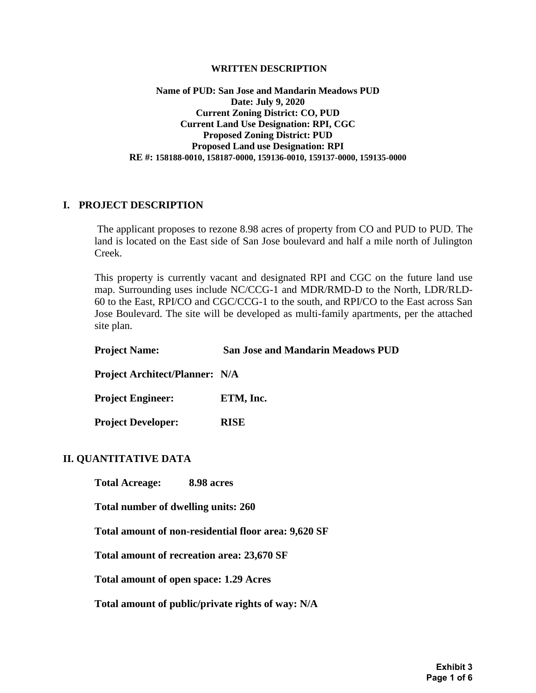#### **WRITTEN DESCRIPTION**

#### **Name of PUD: San Jose and Mandarin Meadows PUD Date: July 9, 2020 Current Zoning District: CO, PUD Current Land Use Designation: RPI, CGC Proposed Zoning District: PUD Proposed Land use Designation: RPI RE #: 158188-0010, 158187-0000, 159136-0010, 159137-0000, 159135-0000**

#### **I. PROJECT DESCRIPTION**

The applicant proposes to rezone 8.98 acres of property from CO and PUD to PUD. The land is located on the East side of San Jose boulevard and half a mile north of Julington Creek.

This property is currently vacant and designated RPI and CGC on the future land use map. Surrounding uses include NC/CCG-1 and MDR/RMD-D to the North, LDR/RLD-60 to the East, RPI/CO and CGC/CCG-1 to the south, and RPI/CO to the East across San Jose Boulevard. The site will be developed as multi-family apartments, per the attached site plan.

| <b>Project Name:</b>                                 | <b>San Jose and Mandarin Meadows PUD</b> |
|------------------------------------------------------|------------------------------------------|
| <b>Project Architect/Planner: N/A</b>                |                                          |
| <b>Project Engineer:</b>                             | ETM, Inc.                                |
| <b>Project Developer:</b>                            | <b>RISE</b>                              |
| <b>II. QUANTITATIVE DATA</b>                         |                                          |
| Total Acreage: 8.98 acres                            |                                          |
| Total number of dwelling units: 260                  |                                          |
| Total amount of non-residential floor area: 9,620 SF |                                          |
| Total amount of recreation area: 23,670 SF           |                                          |
| Total amount of open space: 1.29 Acres               |                                          |

**Total amount of public/private rights of way: N/A**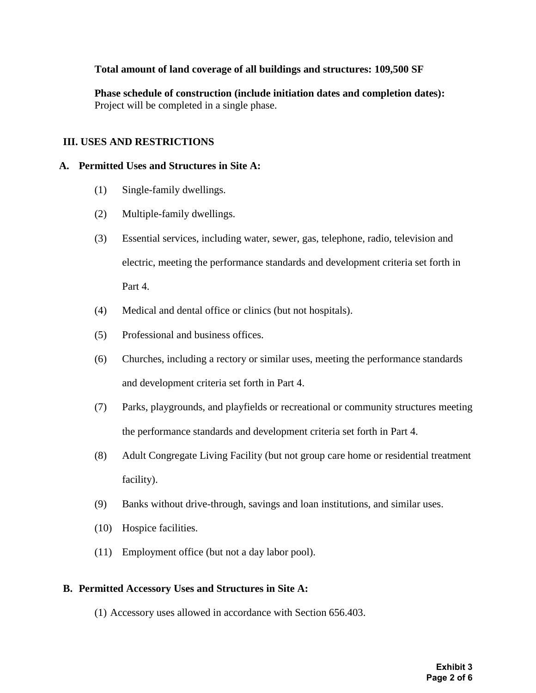# **Total amount of land coverage of all buildings and structures: 109,500 SF**

**Phase schedule of construction (include initiation dates and completion dates):**  Project will be completed in a single phase.

# **III. USES AND RESTRICTIONS**

### **A. Permitted Uses and Structures in Site A:**

- (1) Single-family dwellings.
- (2) Multiple-family dwellings.
- (3) Essential services, including water, sewer, gas, telephone, radio, television and electric, meeting the performance standards and development criteria set forth in Part 4.
- (4) Medical and dental office or clinics (but not hospitals).
- (5) Professional and business offices.
- (6) Churches, including a rectory or similar uses, meeting the performance standards and development criteria set forth in Part 4.
- (7) Parks, playgrounds, and playfields or recreational or community structures meeting the performance standards and development criteria set forth in Part 4.
- (8) Adult Congregate Living Facility (but not group care home or residential treatment facility).
- (9) Banks without drive-through, savings and loan institutions, and similar uses.
- (10) Hospice facilities.
- (11) Employment office (but not a day labor pool).

### **B. Permitted Accessory Uses and Structures in Site A:**

(1) Accessory uses allowed in accordance with Section 656.403.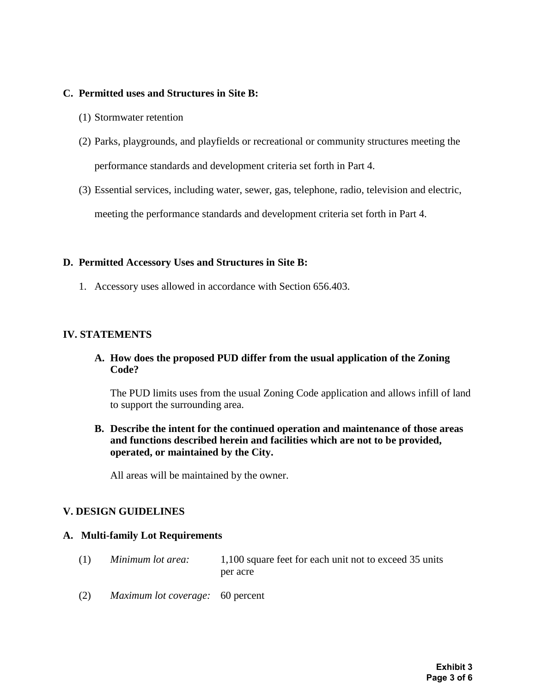### **C. Permitted uses and Structures in Site B:**

- (1) Stormwater retention
- (2) Parks, playgrounds, and playfields or recreational or community structures meeting the performance standards and development criteria set forth in Part 4.
- (3) Essential services, including water, sewer, gas, telephone, radio, television and electric, meeting the performance standards and development criteria set forth in Part 4.

#### **D. Permitted Accessory Uses and Structures in Site B:**

1. Accessory uses allowed in accordance with Section 656.403.

### **IV. STATEMENTS**

**A. How does the proposed PUD differ from the usual application of the Zoning Code?**

The PUD limits uses from the usual Zoning Code application and allows infill of land to support the surrounding area.

**B. Describe the intent for the continued operation and maintenance of those areas and functions described herein and facilities which are not to be provided, operated, or maintained by the City.** 

All areas will be maintained by the owner.

### **V. DESIGN GUIDELINES**

#### **A. Multi-family Lot Requirements**

- (1) *Minimum lot area:* 1,100 square feet for each unit not to exceed 35 units per acre
- (2) *Maximum lot coverage:* 60 percent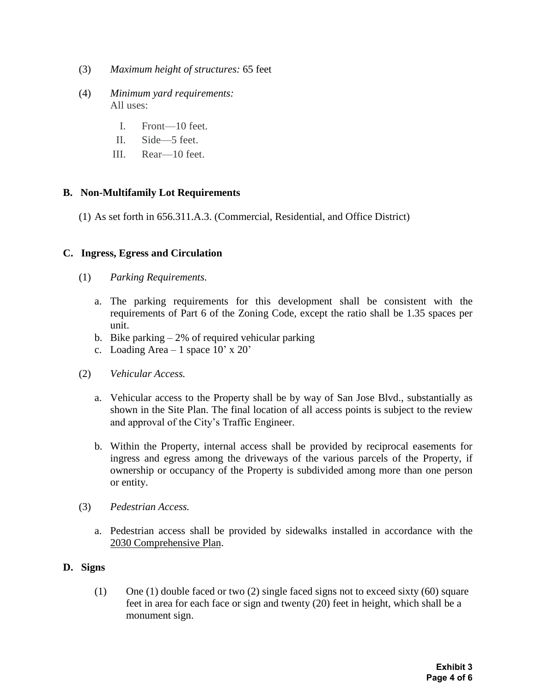- (3) *Maximum height of structures:* 65 feet
- (4) *Minimum yard requirements:* All uses:
	- I. Front—10 feet.
	- II. Side—5 feet.
	- III. Rear—10 feet.

# **B. Non-Multifamily Lot Requirements**

(1) As set forth in 656.311.A.3. (Commercial, Residential, and Office District)

# **C. Ingress, Egress and Circulation**

- (1) *Parking Requirements.* 
	- a. The parking requirements for this development shall be consistent with the requirements of Part 6 of the Zoning Code, except the ratio shall be 1.35 spaces per unit.
	- b. Bike parking  $-2\%$  of required vehicular parking
	- c. Loading Area 1 space  $10' \times 20'$
- (2) *Vehicular Access.* 
	- a. Vehicular access to the Property shall be by way of San Jose Blvd., substantially as shown in the Site Plan. The final location of all access points is subject to the review and approval of the City's Traffic Engineer.
	- b. Within the Property, internal access shall be provided by reciprocal easements for ingress and egress among the driveways of the various parcels of the Property, if ownership or occupancy of the Property is subdivided among more than one person or entity.
- (3) *Pedestrian Access.*
	- a. Pedestrian access shall be provided by sidewalks installed in accordance with the 2030 Comprehensive Plan.

### **D. Signs**

(1) One (1) double faced or two (2) single faced signs not to exceed sixty (60) square feet in area for each face or sign and twenty (20) feet in height, which shall be a monument sign.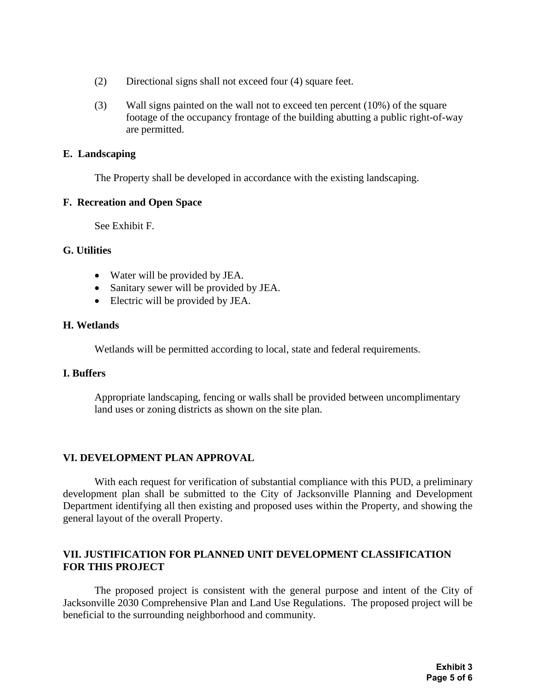- (2) Directional signs shall not exceed four (4) square feet.
- (3) Wall signs painted on the wall not to exceed ten percent (10%) of the square footage of the occupancy frontage of the building abutting a public right-of-way are permitted.

# **E. Landscaping**

The Property shall be developed in accordance with the existing landscaping.

# **F. Recreation and Open Space**

See Exhibit F.

# **G. Utilities**

- Water will be provided by JEA.
- Sanitary sewer will be provided by JEA.
- Electric will be provided by JEA.

# **H. Wetlands**

Wetlands will be permitted according to local, state and federal requirements.

### **I. Buffers**

Appropriate landscaping, fencing or walls shall be provided between uncomplimentary land uses or zoning districts as shown on the site plan.

# **VI. DEVELOPMENT PLAN APPROVAL**

With each request for verification of substantial compliance with this PUD, a preliminary development plan shall be submitted to the City of Jacksonville Planning and Development Department identifying all then existing and proposed uses within the Property, and showing the general layout of the overall Property.

# **VII. JUSTIFICATION FOR PLANNED UNIT DEVELOPMENT CLASSIFICATION FOR THIS PROJECT**

The proposed project is consistent with the general purpose and intent of the City of Jacksonville 2030 Comprehensive Plan and Land Use Regulations. The proposed project will be beneficial to the surrounding neighborhood and community.